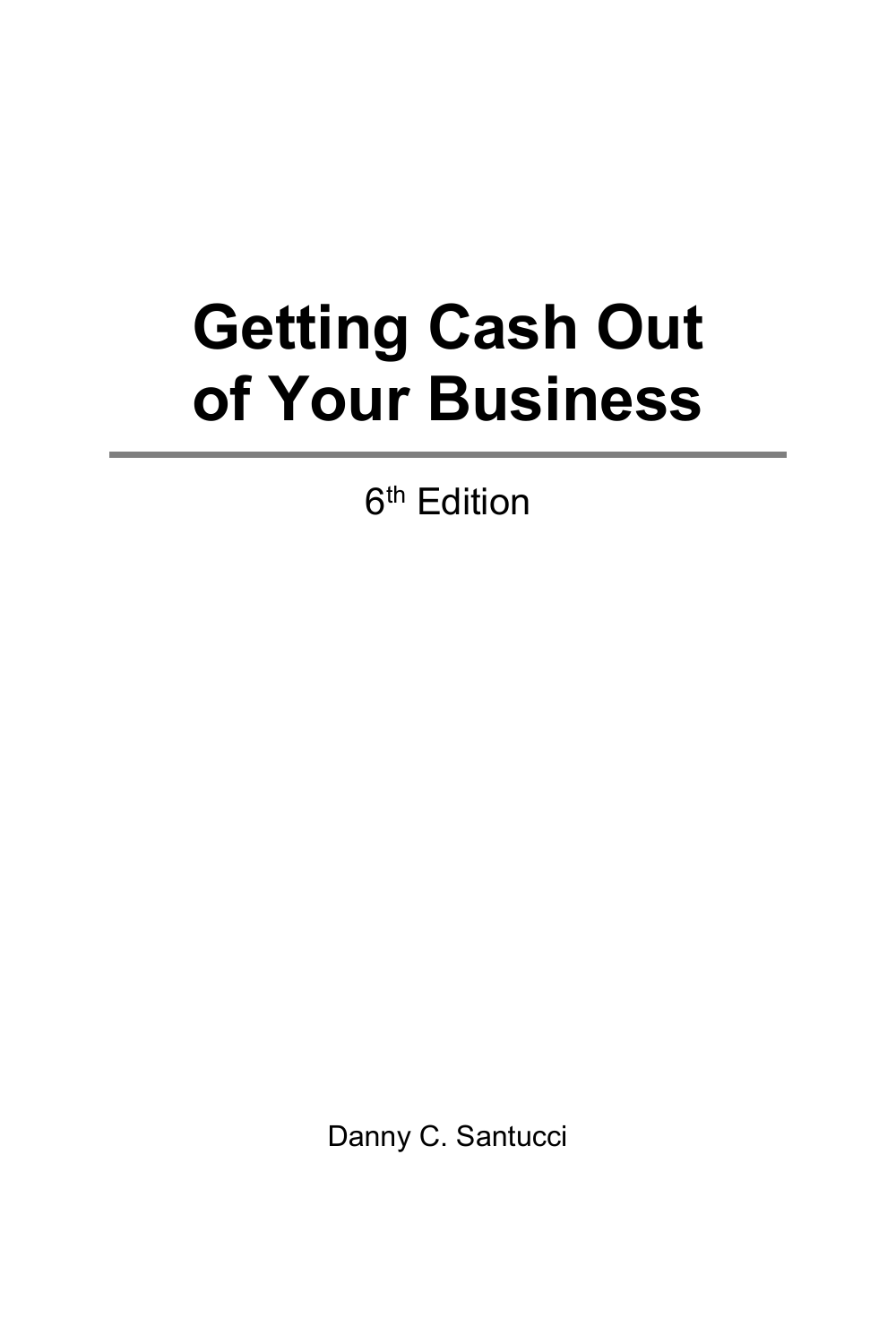## **Getting Cash Out of Your Business**

6<sup>th</sup> Edition

Danny C. Santucci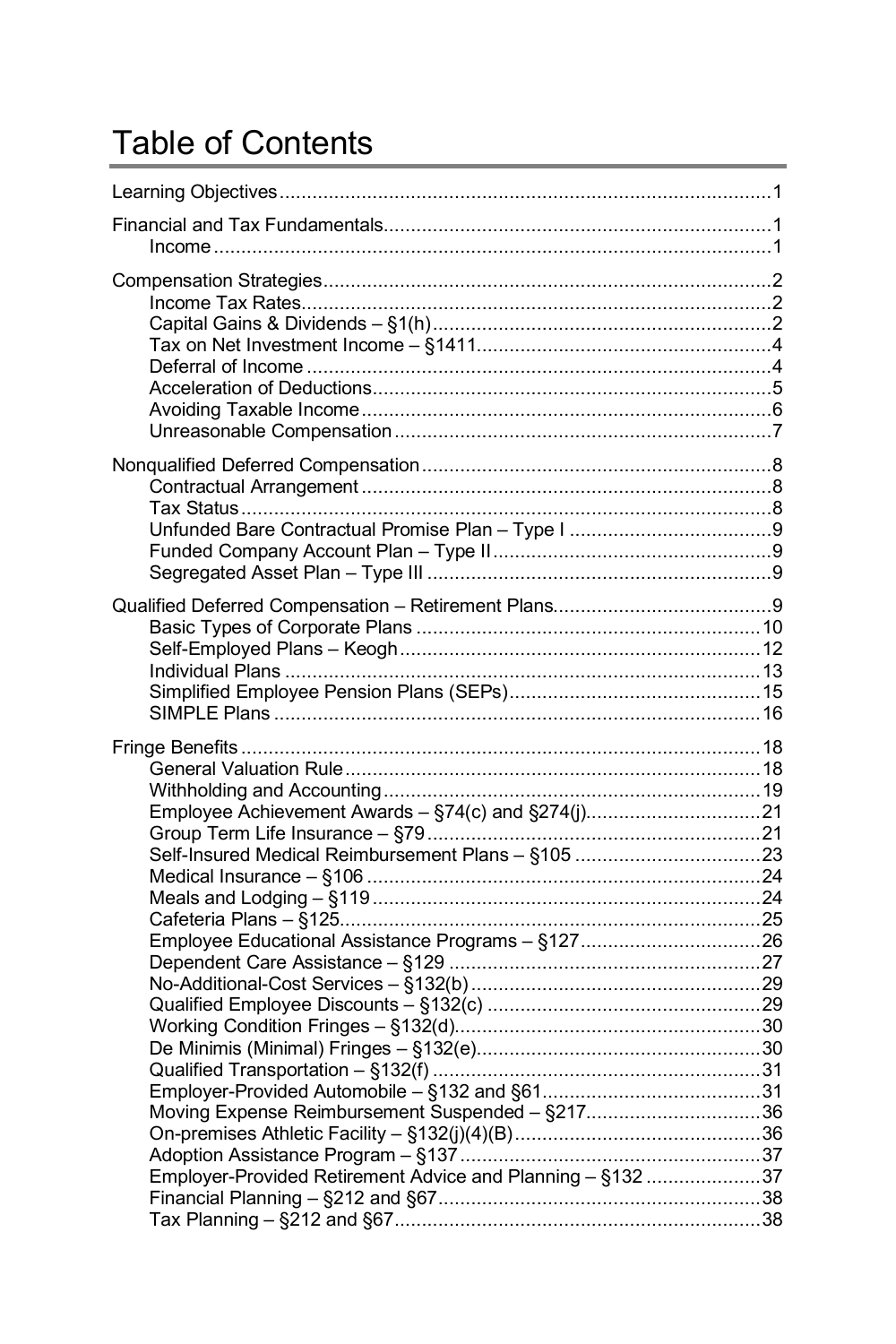## **Table of Contents**

| Self-Insured Medical Reimbursement Plans - §105 23<br>Employee Educational Assistance Programs - §12726<br>Moving Expense Reimbursement Suspended - §21736<br>Employer-Provided Retirement Advice and Planning - §132 37 |  |
|--------------------------------------------------------------------------------------------------------------------------------------------------------------------------------------------------------------------------|--|